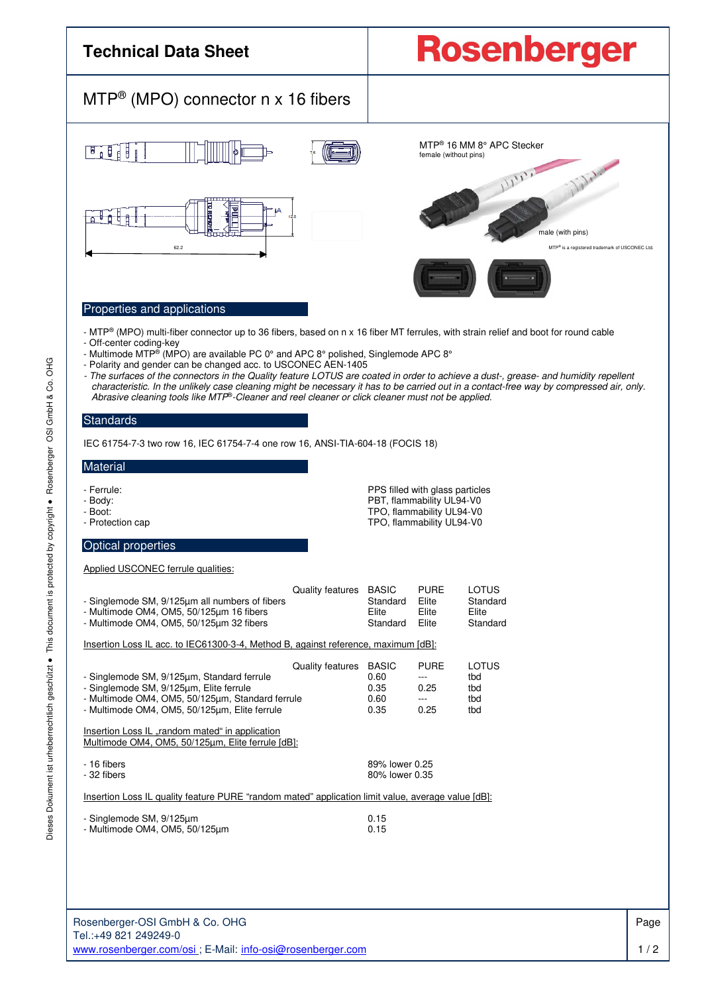

l.

Rosenberger-OSI GmbH & Co. OHG Tel.:+49 821 249249-0 www.rosenberger.com/osi ; E-Mail: info-osi@rosenberger.com